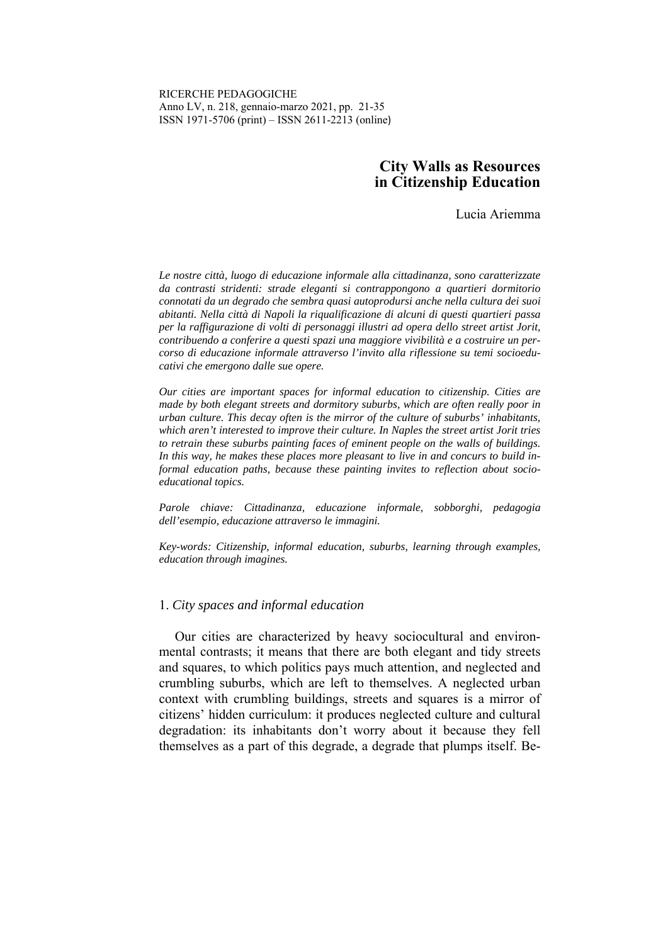## **City Walls as Resources in Citizenship Education**

Lucia Ariemma

*Le nostre città, luogo di educazione informale alla cittadinanza, sono caratterizzate da contrasti stridenti: strade eleganti si contrappongono a quartieri dormitorio connotati da un degrado che sembra quasi autoprodursi anche nella cultura dei suoi abitanti. Nella città di Napoli la riqualificazione di alcuni di questi quartieri passa per la raffigurazione di volti di personaggi illustri ad opera dello street artist Jorit, contribuendo a conferire a questi spazi una maggiore vivibilità e a costruire un percorso di educazione informale attraverso l'invito alla riflessione su temi socioeducativi che emergono dalle sue opere.* 

*Our cities are important spaces for informal education to citizenship. Cities are made by both elegant streets and dormitory suburbs, which are often really poor in urban culture. This decay often is the mirror of the culture of suburbs' inhabitants, which aren't interested to improve their culture. In Naples the street artist Jorit tries to retrain these suburbs painting faces of eminent people on the walls of buildings. In this way, he makes these places more pleasant to live in and concurs to build informal education paths, because these painting invites to reflection about socioeducational topics.* 

*Parole chiave: Cittadinanza, educazione informale, sobborghi, pedagogia dell'esempio, educazione attraverso le immagini.* 

*Key-words: Citizenship, informal education, suburbs, learning through examples, education through imagines.* 

#### 1. *City spaces and informal education*

Our cities are characterized by heavy sociocultural and environmental contrasts; it means that there are both elegant and tidy streets and squares, to which politics pays much attention, and neglected and crumbling suburbs, which are left to themselves. A neglected urban context with crumbling buildings, streets and squares is a mirror of citizens' hidden curriculum: it produces neglected culture and cultural degradation: its inhabitants don't worry about it because they fell themselves as a part of this degrade, a degrade that plumps itself. Be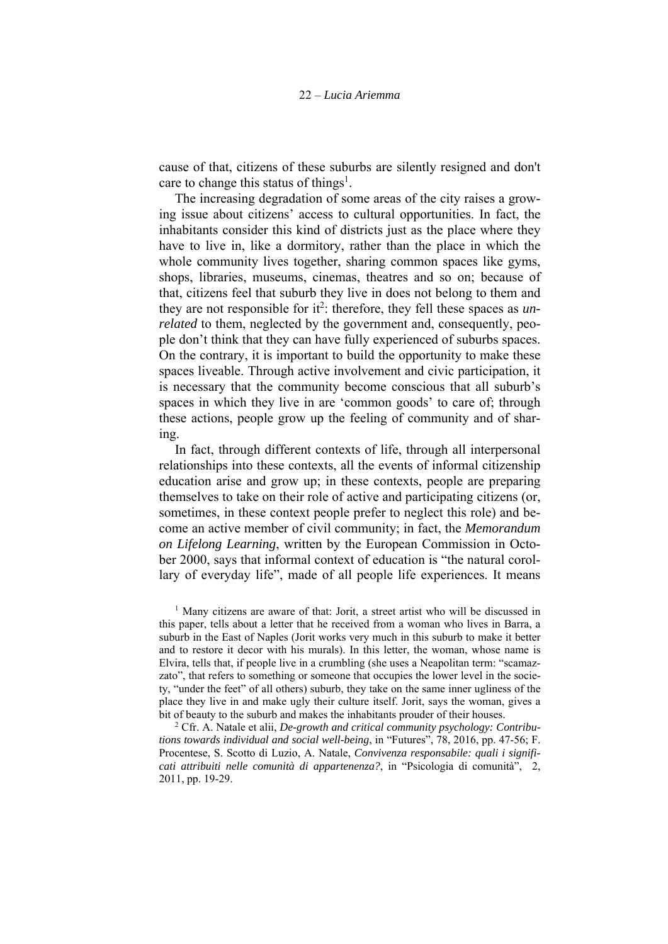cause of that, citizens of these suburbs are silently resigned and don't care to change this status of things<sup>1</sup>.

The increasing degradation of some areas of the city raises a growing issue about citizens' access to cultural opportunities. In fact, the inhabitants consider this kind of districts just as the place where they have to live in, like a dormitory, rather than the place in which the whole community lives together, sharing common spaces like gyms, shops, libraries, museums, cinemas, theatres and so on; because of that, citizens feel that suburb they live in does not belong to them and they are not responsible for it<sup>2</sup>: therefore, they fell these spaces as  $un$ *related* to them, neglected by the government and, consequently, people don't think that they can have fully experienced of suburbs spaces. On the contrary, it is important to build the opportunity to make these spaces liveable. Through active involvement and civic participation, it is necessary that the community become conscious that all suburb's spaces in which they live in are 'common goods' to care of; through these actions, people grow up the feeling of community and of sharing.

In fact, through different contexts of life, through all interpersonal relationships into these contexts, all the events of informal citizenship education arise and grow up; in these contexts, people are preparing themselves to take on their role of active and participating citizens (or, sometimes, in these context people prefer to neglect this role) and become an active member of civil community; in fact, the *Memorandum on Lifelong Learning*, written by the European Commission in October 2000, says that informal context of education is "the natural corollary of everyday life", made of all people life experiences. It means

<sup>1</sup> Many citizens are aware of that: Jorit, a street artist who will be discussed in this paper, tells about a letter that he received from a woman who lives in Barra, a suburb in the East of Naples (Jorit works very much in this suburb to make it better and to restore it decor with his murals). In this letter, the woman, whose name is Elvira, tells that, if people live in a crumbling (she uses a Neapolitan term: "scamazzato", that refers to something or someone that occupies the lower level in the society, "under the feet" of all others) suburb, they take on the same inner ugliness of the place they live in and make ugly their culture itself. Jorit, says the woman, gives a bit of beauty to the suburb and makes the inhabitants prouder of their houses. 2

 Cfr. A. Natale et alii, *De-growth and critical community psychology: Contributions towards individual and social well-being*, in "Futures", 78, 2016, pp. 47-56; F. Procentese, S. Scotto di Luzio, A. Natale, *Convivenza responsabile: quali i significati attribuiti nelle comunità di appartenenza?*, in "Psicologia di comunità", 2, 2011, pp. 19-29.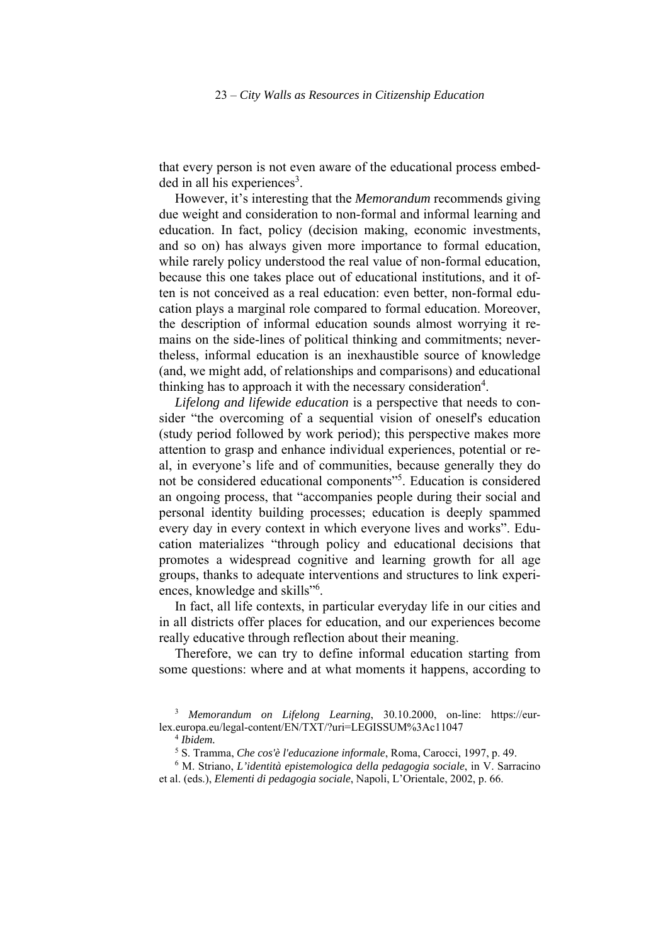that every person is not even aware of the educational process embedded in all his experiences<sup>3</sup>.

However, it's interesting that the *Memorandum* recommends giving due weight and consideration to non-formal and informal learning and education. In fact, policy (decision making, economic investments, and so on) has always given more importance to formal education, while rarely policy understood the real value of non-formal education, because this one takes place out of educational institutions, and it often is not conceived as a real education: even better, non-formal education plays a marginal role compared to formal education. Moreover, the description of informal education sounds almost worrying it remains on the side-lines of political thinking and commitments; nevertheless, informal education is an inexhaustible source of knowledge (and, we might add, of relationships and comparisons) and educational thinking has to approach it with the necessary consideration<sup>4</sup>.

*Lifelong and lifewide education* is a perspective that needs to consider "the overcoming of a sequential vision of oneself's education (study period followed by work period); this perspective makes more attention to grasp and enhance individual experiences, potential or real, in everyone's life and of communities, because generally they do not be considered educational components"5 . Education is considered an ongoing process, that "accompanies people during their social and personal identity building processes; education is deeply spammed every day in every context in which everyone lives and works". Education materializes "through policy and educational decisions that promotes a widespread cognitive and learning growth for all age groups, thanks to adequate interventions and structures to link experiences, knowledge and skills"<sup>6</sup>.

In fact, all life contexts, in particular everyday life in our cities and in all districts offer places for education, and our experiences become really educative through reflection about their meaning.

Therefore, we can try to define informal education starting from some questions: where and at what moments it happens, according to

<sup>3</sup> *Memorandum on Lifelong Learning*, 30.10.2000, on-line: https://eurlex.europa.eu/legal-content/EN/TXT/?uri=LEGISSUM%3Ac11047 4 *Ibidem.*

<sup>5</sup> S. Tramma, *Che cos'è l'educazione informale*, Roma, Carocci, 1997, p. 49.

<sup>6</sup> M. Striano, *L'identità epistemologica della pedagogia sociale*, in V. Sarracino et al. (eds.), *Elementi di pedagogia sociale*, Napoli, L'Orientale, 2002, p. 66.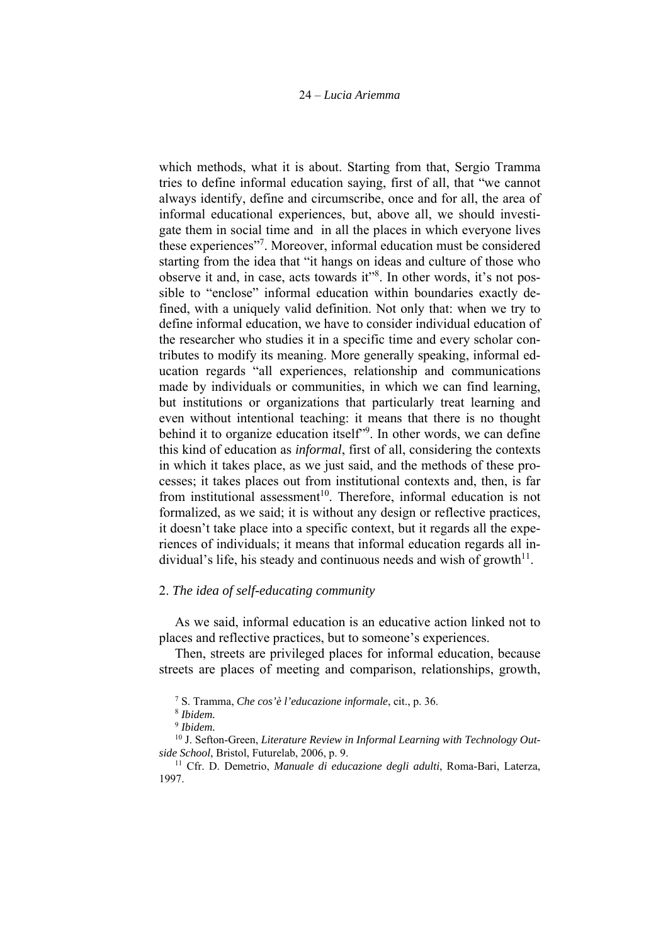which methods, what it is about. Starting from that, Sergio Tramma tries to define informal education saying, first of all, that "we cannot always identify, define and circumscribe, once and for all, the area of informal educational experiences, but, above all, we should investigate them in social time and in all the places in which everyone lives these experiences"7 . Moreover, informal education must be considered starting from the idea that "it hangs on ideas and culture of those who observe it and, in case, acts towards it"<sup>8</sup>. In other words, it's not possible to "enclose" informal education within boundaries exactly defined, with a uniquely valid definition. Not only that: when we try to define informal education, we have to consider individual education of the researcher who studies it in a specific time and every scholar contributes to modify its meaning. More generally speaking, informal education regards "all experiences, relationship and communications made by individuals or communities, in which we can find learning, but institutions or organizations that particularly treat learning and even without intentional teaching: it means that there is no thought behind it to organize education itself"<sup>9</sup>. In other words, we can define this kind of education as *informal*, first of all, considering the contexts in which it takes place, as we just said, and the methods of these processes; it takes places out from institutional contexts and, then, is far from institutional assessment<sup>10</sup>. Therefore, informal education is not formalized, as we said; it is without any design or reflective practices, it doesn't take place into a specific context, but it regards all the experiences of individuals; it means that informal education regards all individual's life, his steady and continuous needs and wish of growth $1^1$ .

#### 2. *The idea of self-educating community*

As we said, informal education is an educative action linked not to places and reflective practices, but to someone's experiences.

Then, streets are privileged places for informal education, because streets are places of meeting and comparison, relationships, growth,

<sup>7</sup> S. Tramma, *Che cos'è l'educazione informale*, cit., p. 36.

<sup>8</sup> *Ibidem.*

<sup>9</sup> *Ibidem.*

<sup>&</sup>lt;sup>10</sup> J. Sefton-Green, *Literature Review in Informal Learning with Technology Outside School*, Bristol, Futurelab, 2006, p. 9. 11 Cfr. D. Demetrio, *Manuale di educazione degli adulti*, Roma-Bari, Laterza,

<sup>1997.</sup>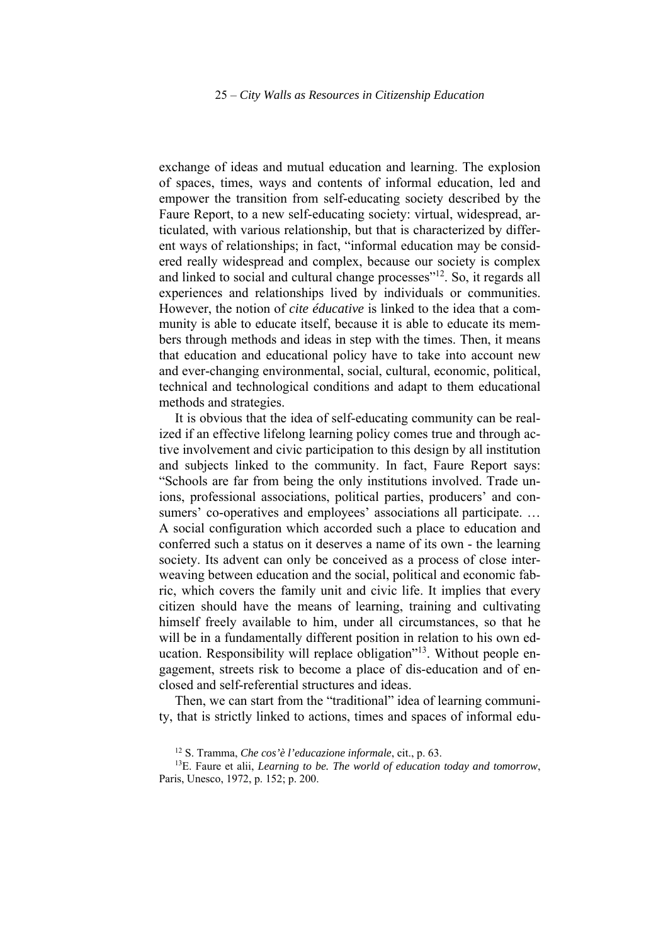exchange of ideas and mutual education and learning. The explosion of spaces, times, ways and contents of informal education, led and empower the transition from self-educating society described by the Faure Report, to a new self-educating society: virtual, widespread, articulated, with various relationship, but that is characterized by different ways of relationships; in fact, "informal education may be considered really widespread and complex, because our society is complex and linked to social and cultural change processes"<sup>12</sup>. So, it regards all experiences and relationships lived by individuals or communities. However, the notion of *cite éducative* is linked to the idea that a community is able to educate itself, because it is able to educate its members through methods and ideas in step with the times. Then, it means that education and educational policy have to take into account new and ever-changing environmental, social, cultural, economic, political, technical and technological conditions and adapt to them educational methods and strategies.

It is obvious that the idea of self-educating community can be realized if an effective lifelong learning policy comes true and through active involvement and civic participation to this design by all institution and subjects linked to the community. In fact, Faure Report says: "Schools are far from being the only institutions involved. Trade unions, professional associations, political parties, producers' and consumers' co-operatives and employees' associations all participate. ... A social configuration which accorded such a place to education and conferred such a status on it deserves a name of its own - the learning society. Its advent can only be conceived as a process of close interweaving between education and the social, political and economic fabric, which covers the family unit and civic life. It implies that every citizen should have the means of learning, training and cultivating himself freely available to him, under all circumstances, so that he will be in a fundamentally different position in relation to his own education. Responsibility will replace obligation"<sup>13</sup>. Without people engagement, streets risk to become a place of dis-education and of enclosed and self-referential structures and ideas.

Then, we can start from the "traditional" idea of learning community, that is strictly linked to actions, times and spaces of informal edu-

<sup>12</sup> S. Tramma, *Che cos'è l'educazione informale*, cit., p. 63.

<sup>13</sup>E. Faure et alii, *Learning to be. The world of education today and tomorrow*, Paris, Unesco, 1972, p. 152; p. 200.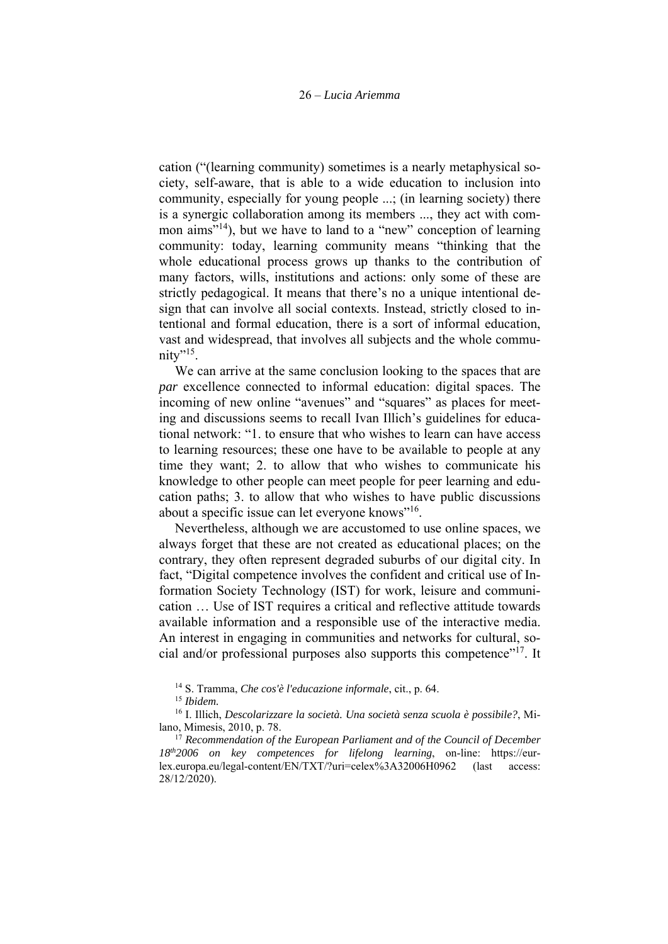cation ("(learning community) sometimes is a nearly metaphysical society, self-aware, that is able to a wide education to inclusion into community, especially for young people ...; (in learning society) there is a synergic collaboration among its members ..., they act with common aims<sup>"14</sup>), but we have to land to a "new" conception of learning community: today, learning community means "thinking that the whole educational process grows up thanks to the contribution of many factors, wills, institutions and actions: only some of these are strictly pedagogical. It means that there's no a unique intentional design that can involve all social contexts. Instead, strictly closed to intentional and formal education, there is a sort of informal education, vast and widespread, that involves all subjects and the whole community"<sup>15</sup>.

We can arrive at the same conclusion looking to the spaces that are *par* excellence connected to informal education: digital spaces. The incoming of new online "avenues" and "squares" as places for meeting and discussions seems to recall Ivan Illich's guidelines for educational network: "1. to ensure that who wishes to learn can have access to learning resources; these one have to be available to people at any time they want; 2. to allow that who wishes to communicate his knowledge to other people can meet people for peer learning and education paths; 3. to allow that who wishes to have public discussions about a specific issue can let everyone knows"16.

Nevertheless, although we are accustomed to use online spaces, we always forget that these are not created as educational places; on the contrary, they often represent degraded suburbs of our digital city. In fact, "Digital competence involves the confident and critical use of Information Society Technology (IST) for work, leisure and communication … Use of IST requires a critical and reflective attitude towards available information and a responsible use of the interactive media. An interest in engaging in communities and networks for cultural, social and/or professional purposes also supports this competence"17. It

<sup>14</sup> S. Tramma, *Che cos'è l'educazione informale*, cit., p. 64.

<sup>15</sup> *Ibidem.*

<sup>16</sup> I. Illich, *Descolarizzare la società. Una società senza scuola è possibile?*, Milano, Mimesis, 2010, p. 78.

<sup>17</sup> *Recommendation of the European Parliament and of the Council of December 18th2006 on key competences for lifelong learning*, on-line: https://eurlex.europa.eu/legal-content/EN/TXT/?uri=celex%3A32006H0962 (last access: 28/12/2020).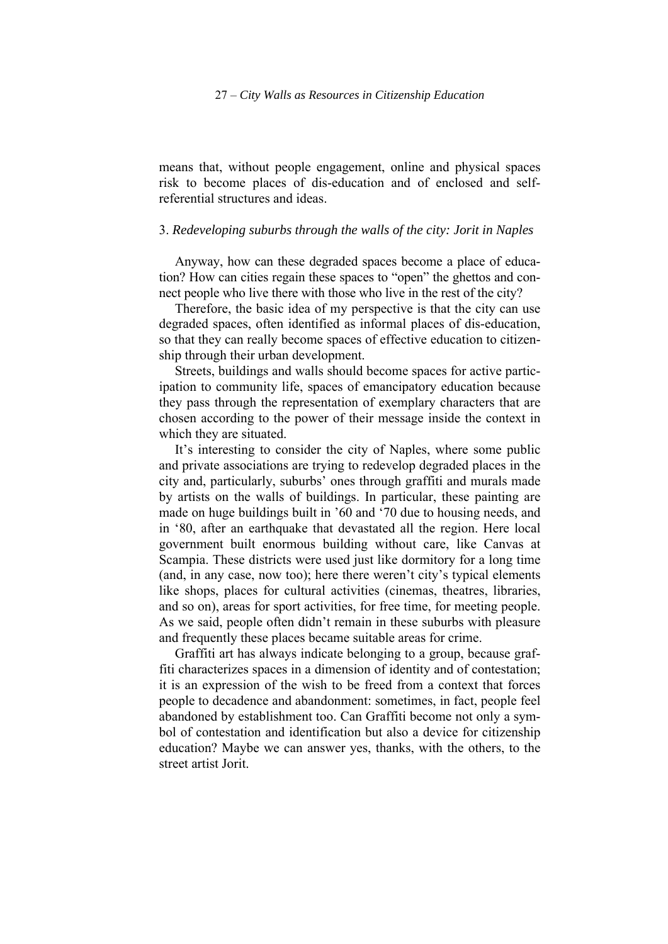means that, without people engagement, online and physical spaces risk to become places of dis-education and of enclosed and selfreferential structures and ideas.

### 3. *Redeveloping suburbs through the walls of the city: Jorit in Naples*

Anyway, how can these degraded spaces become a place of education? How can cities regain these spaces to "open" the ghettos and connect people who live there with those who live in the rest of the city?

Therefore, the basic idea of my perspective is that the city can use degraded spaces, often identified as informal places of dis-education, so that they can really become spaces of effective education to citizenship through their urban development.

Streets, buildings and walls should become spaces for active participation to community life, spaces of emancipatory education because they pass through the representation of exemplary characters that are chosen according to the power of their message inside the context in which they are situated.

It's interesting to consider the city of Naples, where some public and private associations are trying to redevelop degraded places in the city and, particularly, suburbs' ones through graffiti and murals made by artists on the walls of buildings. In particular, these painting are made on huge buildings built in '60 and '70 due to housing needs, and in '80, after an earthquake that devastated all the region. Here local government built enormous building without care, like Canvas at Scampia. These districts were used just like dormitory for a long time (and, in any case, now too); here there weren't city's typical elements like shops, places for cultural activities (cinemas, theatres, libraries, and so on), areas for sport activities, for free time, for meeting people. As we said, people often didn't remain in these suburbs with pleasure and frequently these places became suitable areas for crime.

Graffiti art has always indicate belonging to a group, because graffiti characterizes spaces in a dimension of identity and of contestation; it is an expression of the wish to be freed from a context that forces people to decadence and abandonment: sometimes, in fact, people feel abandoned by establishment too. Can Graffiti become not only a symbol of contestation and identification but also a device for citizenship education? Maybe we can answer yes, thanks, with the others, to the street artist Jorit.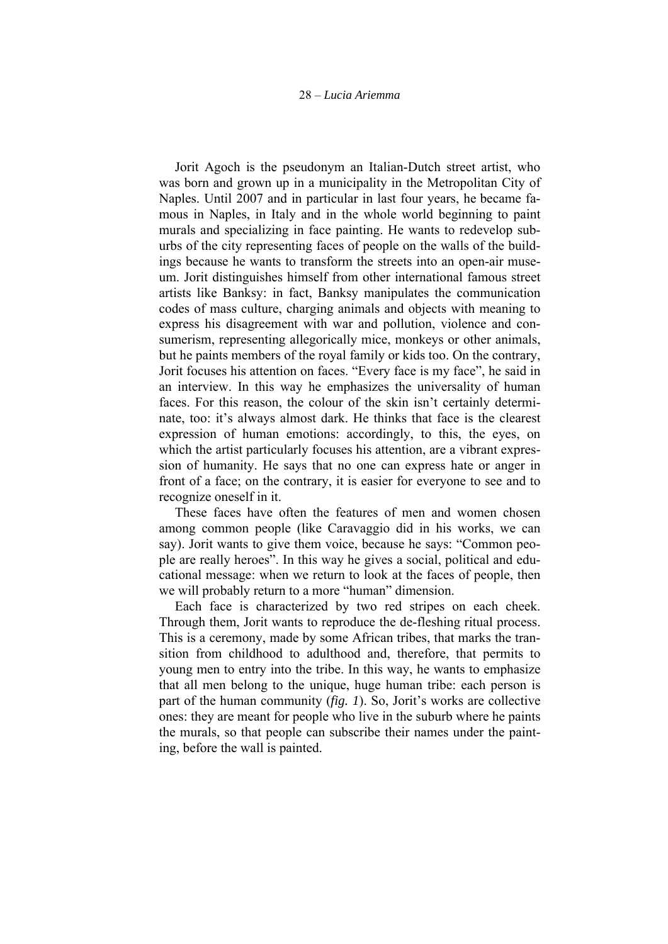Jorit Agoch is the pseudonym an Italian-Dutch street artist, who was born and grown up in a municipality in the Metropolitan City of Naples. Until 2007 and in particular in last four years, he became famous in Naples, in Italy and in the whole world beginning to paint murals and specializing in face painting. He wants to redevelop suburbs of the city representing faces of people on the walls of the buildings because he wants to transform the streets into an open-air museum. Jorit distinguishes himself from other international famous street artists like Banksy: in fact, Banksy manipulates the communication codes of mass culture, charging animals and objects with meaning to express his disagreement with war and pollution, violence and consumerism, representing allegorically mice, monkeys or other animals, but he paints members of the royal family or kids too. On the contrary, Jorit focuses his attention on faces. "Every face is my face", he said in an interview. In this way he emphasizes the universality of human faces. For this reason, the colour of the skin isn't certainly determinate, too: it's always almost dark. He thinks that face is the clearest expression of human emotions: accordingly, to this, the eyes, on which the artist particularly focuses his attention, are a vibrant expression of humanity. He says that no one can express hate or anger in front of a face; on the contrary, it is easier for everyone to see and to recognize oneself in it.

These faces have often the features of men and women chosen among common people (like Caravaggio did in his works, we can say). Jorit wants to give them voice, because he says: "Common people are really heroes". In this way he gives a social, political and educational message: when we return to look at the faces of people, then we will probably return to a more "human" dimension.

Each face is characterized by two red stripes on each cheek. Through them, Jorit wants to reproduce the de-fleshing ritual process. This is a ceremony, made by some African tribes, that marks the transition from childhood to adulthood and, therefore, that permits to young men to entry into the tribe. In this way, he wants to emphasize that all men belong to the unique, huge human tribe: each person is part of the human community (*fig. 1*). So, Jorit's works are collective ones: they are meant for people who live in the suburb where he paints the murals, so that people can subscribe their names under the painting, before the wall is painted.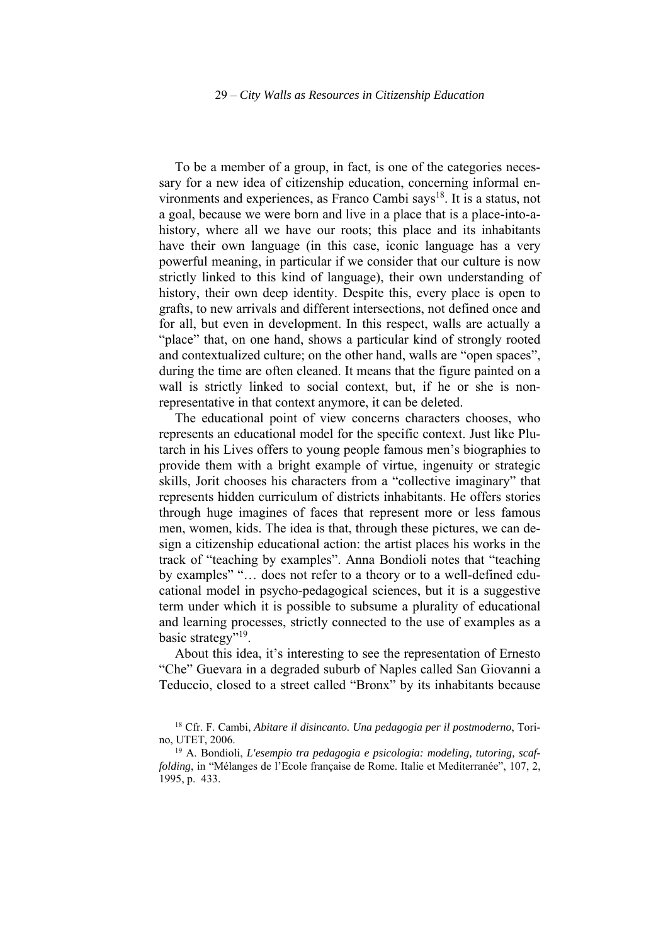To be a member of a group, in fact, is one of the categories necessary for a new idea of citizenship education, concerning informal environments and experiences, as Franco Cambi says<sup>18</sup>. It is a status, not a goal, because we were born and live in a place that is a place-into-ahistory, where all we have our roots; this place and its inhabitants have their own language (in this case, iconic language has a very powerful meaning, in particular if we consider that our culture is now strictly linked to this kind of language), their own understanding of history, their own deep identity. Despite this, every place is open to grafts, to new arrivals and different intersections, not defined once and for all, but even in development. In this respect, walls are actually a "place" that, on one hand, shows a particular kind of strongly rooted and contextualized culture; on the other hand, walls are "open spaces", during the time are often cleaned. It means that the figure painted on a wall is strictly linked to social context, but, if he or she is nonrepresentative in that context anymore, it can be deleted.

The educational point of view concerns characters chooses, who represents an educational model for the specific context. Just like Plutarch in his Lives offers to young people famous men's biographies to provide them with a bright example of virtue, ingenuity or strategic skills, Jorit chooses his characters from a "collective imaginary" that represents hidden curriculum of districts inhabitants. He offers stories through huge imagines of faces that represent more or less famous men, women, kids. The idea is that, through these pictures, we can design a citizenship educational action: the artist places his works in the track of "teaching by examples". Anna Bondioli notes that "teaching by examples" "… does not refer to a theory or to a well-defined educational model in psycho-pedagogical sciences, but it is a suggestive term under which it is possible to subsume a plurality of educational and learning processes, strictly connected to the use of examples as a basic strategy"<sup>19</sup>.

About this idea, it's interesting to see the representation of Ernesto "Che" Guevara in a degraded suburb of Naples called San Giovanni a Teduccio, closed to a street called "Bronx" by its inhabitants because

<sup>18</sup> Cfr. F. Cambi, *Abitare il disincanto. Una pedagogia per il postmoderno*, Torino, UTET, 2006.

<sup>19</sup> A. Bondioli, *L'esempio tra pedagogia e psicologia: modeling, tutoring, scaffolding*, in "Mélanges de l'Ecole française de Rome. Italie et Mediterranée", 107, 2, 1995, p. 433.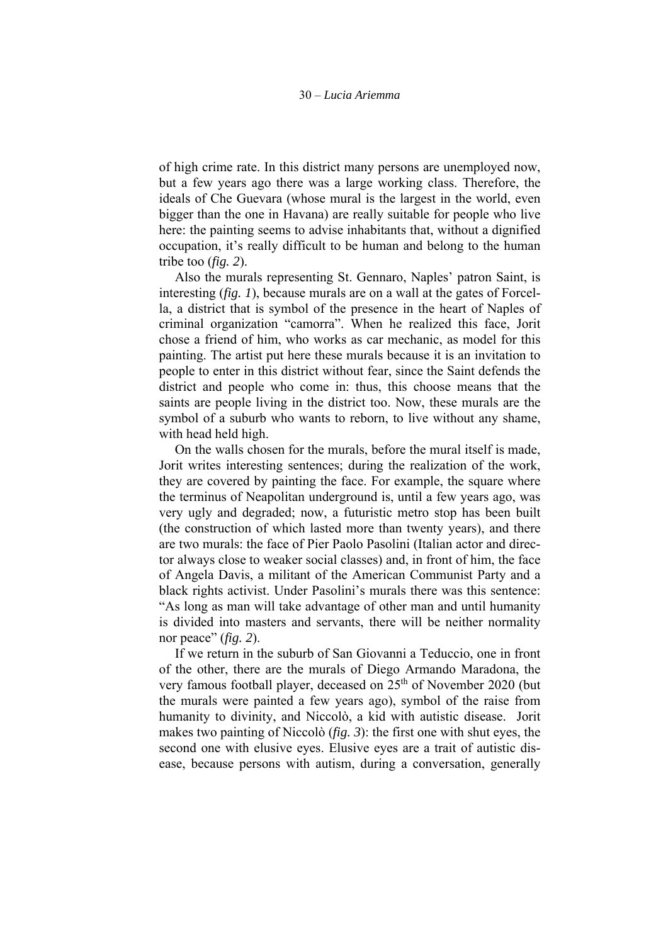of high crime rate. In this district many persons are unemployed now, but a few years ago there was a large working class. Therefore, the ideals of Che Guevara (whose mural is the largest in the world, even bigger than the one in Havana) are really suitable for people who live here: the painting seems to advise inhabitants that, without a dignified occupation, it's really difficult to be human and belong to the human tribe too (*fig. 2*).

Also the murals representing St. Gennaro, Naples' patron Saint, is interesting (*fig. 1*), because murals are on a wall at the gates of Forcella, a district that is symbol of the presence in the heart of Naples of criminal organization "camorra". When he realized this face, Jorit chose a friend of him, who works as car mechanic, as model for this painting. The artist put here these murals because it is an invitation to people to enter in this district without fear, since the Saint defends the district and people who come in: thus, this choose means that the saints are people living in the district too. Now, these murals are the symbol of a suburb who wants to reborn, to live without any shame, with head held high.

On the walls chosen for the murals, before the mural itself is made, Jorit writes interesting sentences; during the realization of the work, they are covered by painting the face. For example, the square where the terminus of Neapolitan underground is, until a few years ago, was very ugly and degraded; now, a futuristic metro stop has been built (the construction of which lasted more than twenty years), and there are two murals: the face of Pier Paolo Pasolini (Italian actor and director always close to weaker social classes) and, in front of him, the face of Angela Davis, a militant of the American Communist Party and a black rights activist. Under Pasolini's murals there was this sentence: "As long as man will take advantage of other man and until humanity is divided into masters and servants, there will be neither normality nor peace" (*fig. 2*).

If we return in the suburb of San Giovanni a Teduccio, one in front of the other, there are the murals of Diego Armando Maradona, the very famous football player, deceased on 25<sup>th</sup> of November 2020 (but the murals were painted a few years ago), symbol of the raise from humanity to divinity, and Niccolò, a kid with autistic disease. Jorit makes two painting of Niccolò (*fig. 3*): the first one with shut eyes, the second one with elusive eyes. Elusive eyes are a trait of autistic disease, because persons with autism, during a conversation, generally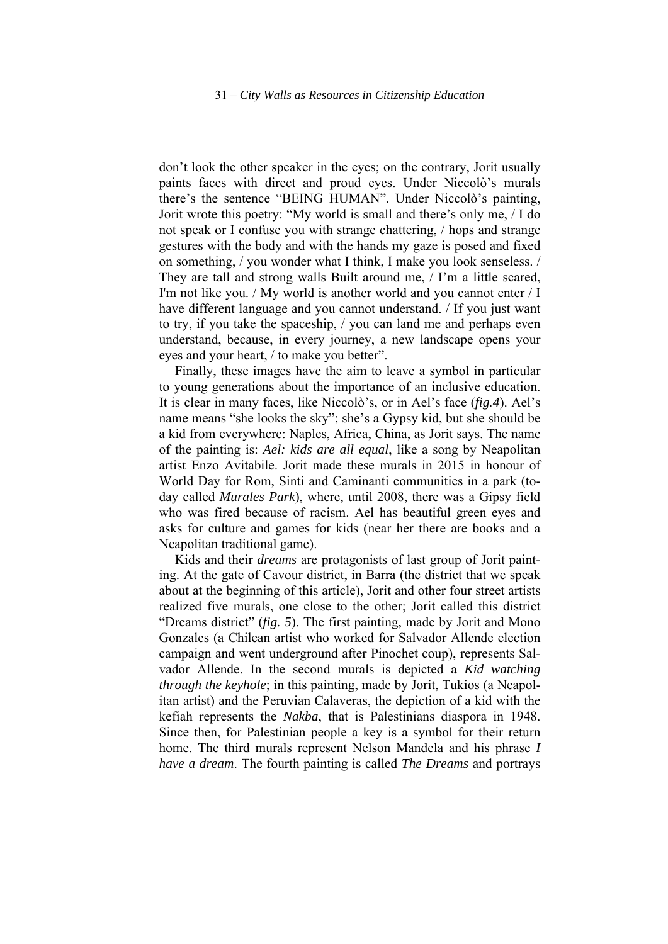don't look the other speaker in the eyes; on the contrary, Jorit usually paints faces with direct and proud eyes. Under Niccolò's murals there's the sentence "BEING HUMAN". Under Niccolò's painting, Jorit wrote this poetry: "My world is small and there's only me, / I do not speak or I confuse you with strange chattering, / hops and strange gestures with the body and with the hands my gaze is posed and fixed on something, / you wonder what I think, I make you look senseless. / They are tall and strong walls Built around me, / I'm a little scared, I'm not like you. / My world is another world and you cannot enter / I have different language and you cannot understand. / If you just want to try, if you take the spaceship, / you can land me and perhaps even understand, because, in every journey, a new landscape opens your eyes and your heart, / to make you better".

Finally, these images have the aim to leave a symbol in particular to young generations about the importance of an inclusive education. It is clear in many faces, like Niccolò's, or in Ael's face (*fig.4*). Ael's name means "she looks the sky"; she's a Gypsy kid, but she should be a kid from everywhere: Naples, Africa, China, as Jorit says. The name of the painting is: *Ael: kids are all equal*, like a song by Neapolitan artist Enzo Avitabile. Jorit made these murals in 2015 in honour of World Day for Rom, Sinti and Caminanti communities in a park (today called *Murales Park*), where, until 2008, there was a Gipsy field who was fired because of racism. Ael has beautiful green eyes and asks for culture and games for kids (near her there are books and a Neapolitan traditional game).

Kids and their *dreams* are protagonists of last group of Jorit painting. At the gate of Cavour district, in Barra (the district that we speak about at the beginning of this article), Jorit and other four street artists realized five murals, one close to the other; Jorit called this district "Dreams district" (*fig. 5*). The first painting, made by Jorit and Mono Gonzales (a Chilean artist who worked for Salvador Allende election campaign and went underground after Pinochet coup), represents Salvador Allende. In the second murals is depicted a *Kid watching through the keyhole*; in this painting, made by Jorit, Tukios (a Neapolitan artist) and the Peruvian Calaveras, the depiction of a kid with the kefiah represents the *Nakba*, that is Palestinians diaspora in 1948. Since then, for Palestinian people a key is a symbol for their return home. The third murals represent Nelson Mandela and his phrase *I have a dream*. The fourth painting is called *The Dreams* and portrays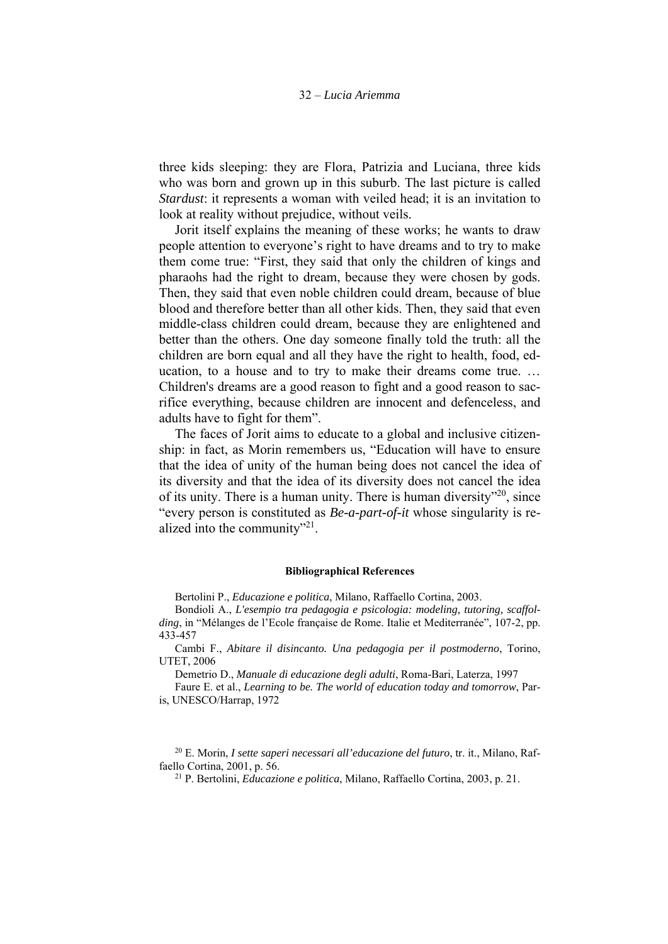three kids sleeping: they are Flora, Patrizia and Luciana, three kids who was born and grown up in this suburb. The last picture is called *Stardust*: it represents a woman with veiled head; it is an invitation to look at reality without prejudice, without veils.

Jorit itself explains the meaning of these works; he wants to draw people attention to everyone's right to have dreams and to try to make them come true: "First, they said that only the children of kings and pharaohs had the right to dream, because they were chosen by gods. Then, they said that even noble children could dream, because of blue blood and therefore better than all other kids. Then, they said that even middle-class children could dream, because they are enlightened and better than the others. One day someone finally told the truth: all the children are born equal and all they have the right to health, food, education, to a house and to try to make their dreams come true. … Children's dreams are a good reason to fight and a good reason to sacrifice everything, because children are innocent and defenceless, and adults have to fight for them".

The faces of Jorit aims to educate to a global and inclusive citizenship: in fact, as Morin remembers us, "Education will have to ensure that the idea of unity of the human being does not cancel the idea of its diversity and that the idea of its diversity does not cancel the idea of its unity. There is a human unity. There is human diversity"20, since "every person is constituted as *Be-a-part-of-it* whose singularity is realized into the community"<sup>21</sup>.

#### **Bibliographical References**

Bertolini P., *Educazione e politica*, Milano, Raffaello Cortina, 2003.

Bondioli A., *L'esempio tra pedagogia e psicologia: modeling, tutoring, scaffolding*, in "Mélanges de l'Ecole française de Rome. Italie et Mediterranée", 107-2, pp. 433-457

Cambi F., *Abitare il disincanto. Una pedagogia per il postmoderno*, Torino, UTET, 2006

Demetrio D., *Manuale di educazione degli adulti*, Roma-Bari, Laterza, 1997

Faure E. et al., *Learning to be. The world of education today and tomorrow*, Paris, UNESCO/Harrap, 1972

20 E. Morin, *I sette saperi necessari all'educazione del futuro*, tr. it., Milano, Raffaello Cortina, 2001, p. 56. 21 P. Bertolini, *Educazione e politica*, Milano, Raffaello Cortina, 2003, p. 21.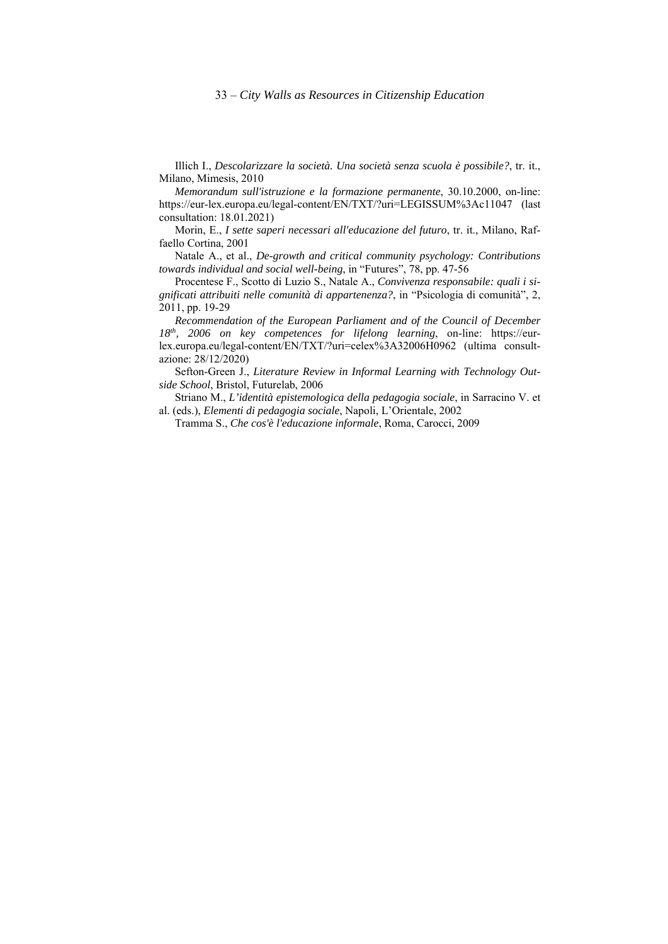Illich I., *Descolarizzare la società. Una società senza scuola è possibile?*, tr. it., Milano, Mimesis, 2010

*Memorandum sull'istruzione e la formazione permanente*, 30.10.2000, on-line: https://eur-lex.europa.eu/legal-content/EN/TXT/?uri=LEGISSUM%3Ac11047 (last consultation: 18.01.2021)

Morin, E., *I sette saperi necessari all'educazione del futuro*, tr. it., Milano, Raffaello Cortina, 2001

Natale A., et al., *De-growth and critical community psychology: Contributions towards individual and social well-being*, in "Futures", 78, pp. 47-56

Procentese F., Scotto di Luzio S., Natale A., *Convivenza responsabile: quali i significati attribuiti nelle comunità di appartenenza?*, in "Psicologia di comunità", 2, 2011, pp. 19-29

*Recommendation of the European Parliament and of the Council of December 18th, 2006 on key competences for lifelong learning*, on-line: https://eurlex.europa.eu/legal-content/EN/TXT/?uri=celex%3A32006H0962 (ultima consultazione: 28/12/2020)

Sefton-Green J., *Literature Review in Informal Learning with Technology Outside School*, Bristol, Futurelab, 2006

Striano M., *L'identità epistemologica della pedagogia sociale*, in Sarracino V. et al. (eds.), *Elementi di pedagogia sociale*, Napoli, L'Orientale, 2002

Tramma S., *Che cos'è l'educazione informale*, Roma, Carocci, 2009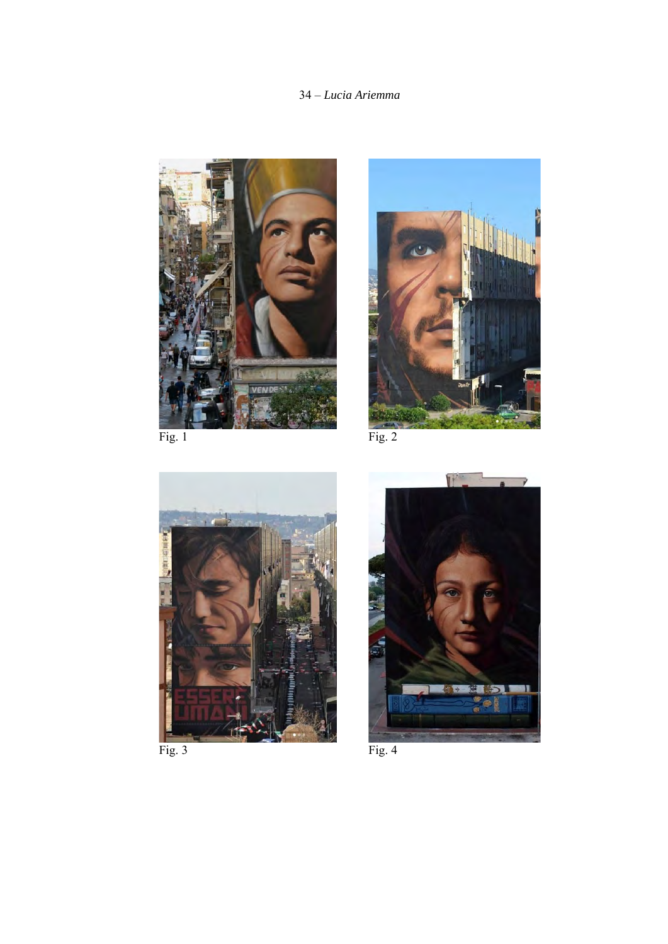### 34 – *Lucia Ariemma*





n i

Fig. 3 Fig. 4